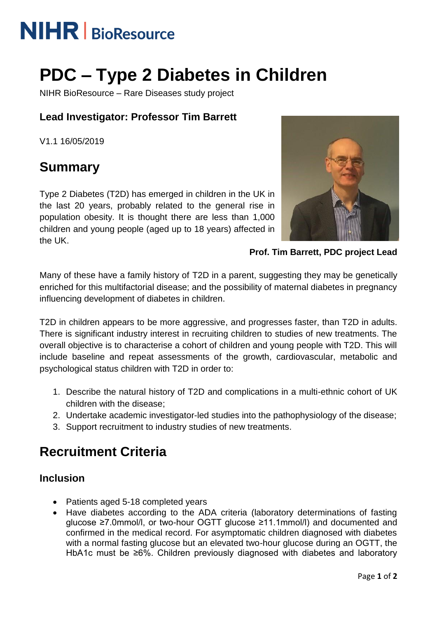# **NIHR** | BioResource

## **PDC – Type 2 Diabetes in Children**

NIHR BioResource – Rare Diseases study project

### **Lead Investigator: Professor Tim Barrett**

V1.1 16/05/2019

## **Summary**

Type 2 Diabetes (T2D) has emerged in children in the UK in the last 20 years, probably related to the general rise in population obesity. It is thought there are less than 1,000 children and young people (aged up to 18 years) affected in the UK.



**Prof. Tim Barrett, PDC project Lead**

Many of these have a family history of T2D in a parent, suggesting they may be genetically enriched for this multifactorial disease; and the possibility of maternal diabetes in pregnancy influencing development of diabetes in children.

T2D in children appears to be more aggressive, and progresses faster, than T2D in adults. There is significant industry interest in recruiting children to studies of new treatments. The overall objective is to characterise a cohort of children and young people with T2D. This will include baseline and repeat assessments of the growth, cardiovascular, metabolic and psychological status children with T2D in order to:

- 1. Describe the natural history of T2D and complications in a multi-ethnic cohort of UK children with the disease;
- 2. Undertake academic investigator-led studies into the pathophysiology of the disease;
- 3. Support recruitment to industry studies of new treatments.

## **Recruitment Criteria**

#### **Inclusion**

- Patients aged 5-18 completed years
- Have diabetes according to the ADA criteria (laboratory determinations of fasting glucose ≥7.0mmol/l, or two-hour OGTT glucose ≥11.1mmol/l) and documented and confirmed in the medical record. For asymptomatic children diagnosed with diabetes with a normal fasting glucose but an elevated two-hour glucose during an OGTT, the HbA1c must be ≥6%. Children previously diagnosed with diabetes and laboratory